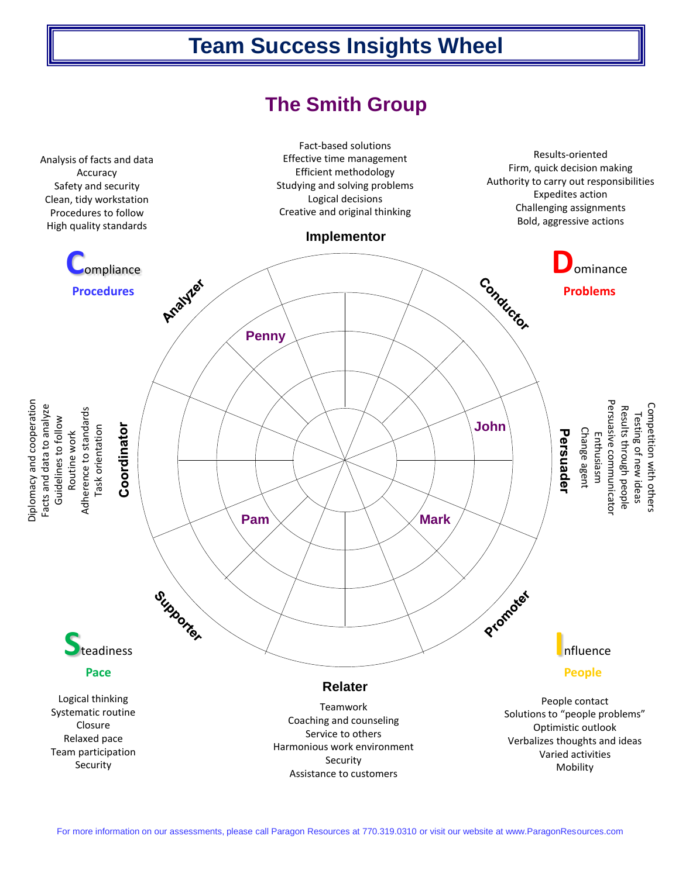## **Team Success Insights Wheel**

## **The Smith Group**